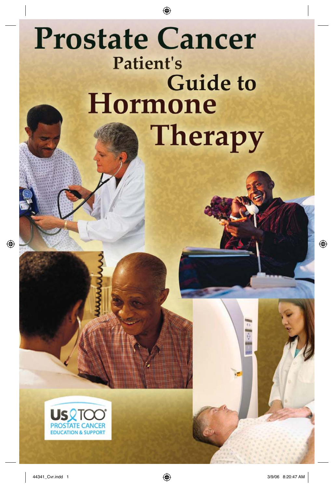## **Prostate Cancer Patient's Guide to Hormone Therapy**

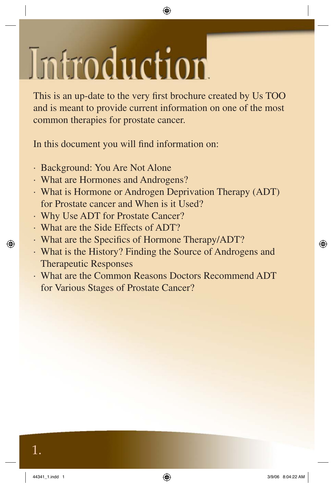# Introduction

This is an up-date to the very first brochure created by Us TOO and is meant to provide current information on one of the most common therapies for prostate cancer.

In this document you will find information on:

- · Background: You Are Not Alone
- · What are Hormones and Androgens?
- · What is Hormone or Androgen Deprivation Therapy (ADT) for Prostate cancer and When is it Used?
- · Why Use ADT for Prostate Cancer?
- · What are the Side Effects of ADT?
- What are the Specifics of Hormone Therapy/ADT?
- · What is the History? Finding the Source of Androgens and Therapeutic Responses
- · What are the Common Reasons Doctors Recommend ADT for Various Stages of Prostate Cancer?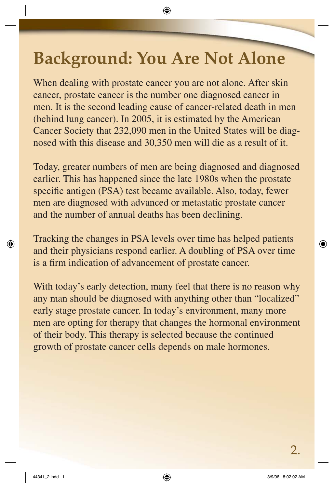## **Background: You Are Not Alone**

When dealing with prostate cancer you are not alone. After skin cancer, prostate cancer is the number one diagnosed cancer in men. It is the second leading cause of cancer-related death in men (behind lung cancer). In 2005, it is estimated by the American Cancer Society that 232,090 men in the United States will be diagnosed with this disease and 30,350 men will die as a result of it.

Today, greater numbers of men are being diagnosed and diagnosed earlier. This has happened since the late 1980s when the prostate specific antigen (PSA) test became available. Also, today, fewer men are diagnosed with advanced or metastatic prostate cancer and the number of annual deaths has been declining.

Tracking the changes in PSA levels over time has helped patients and their physicians respond earlier. A doubling of PSA over time is a firm indication of advancement of prostate cancer.

With today's early detection, many feel that there is no reason why any man should be diagnosed with anything other than "localized" early stage prostate cancer. In today's environment, many more men are opting for therapy that changes the hormonal environment of their body. This therapy is selected because the continued growth of prostate cancer cells depends on male hormones.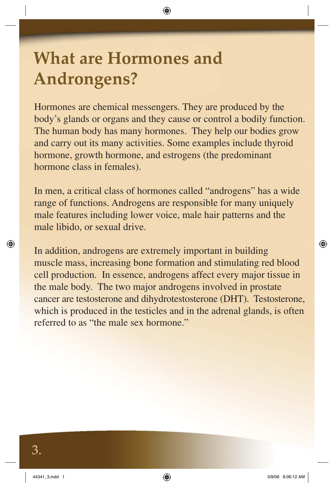## **What are Hormones and Androngens?**

Hormones are chemical messengers. They are produced by the body's glands or organs and they cause or control a bodily function. The human body has many hormones. They help our bodies grow and carry out its many activities. Some examples include thyroid hormone, growth hormone, and estrogens (the predominant hormone class in females).

In men, a critical class of hormones called "androgens" has a wide range of functions. Androgens are responsible for many uniquely male features including lower voice, male hair patterns and the male libido, or sexual drive.

In addition, androgens are extremely important in building muscle mass, increasing bone formation and stimulating red blood cell production. In essence, androgens affect every major tissue in the male body. The two major androgens involved in prostate cancer are testosterone and dihydrotestosterone (DHT). Testosterone, which is produced in the testicles and in the adrenal glands, is often referred to as "the male sex hormone."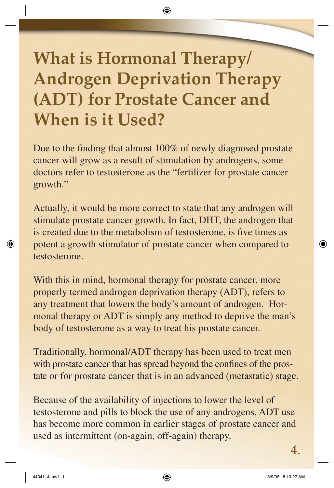## **What is Hormonal Therapy/ Androgen Deprivation Therapy (ADT) for Prostate Cancer and When is it Used?**

Due to the finding that almost 100% of newly diagnosed prostate cancer will grow as a result of stimulation by androgens, some doctors refer to testosterone as the "fertilizer for prostate cancer growth."

Actually, it would be more correct to state that any androgen will stimulate prostate cancer growth. In fact, DHT, the androgen that is created due to the metabolism of testosterone, is five times as potent a growth stimulator of prostate cancer when compared to testosterone.

With this in mind, hormonal therapy for prostate cancer, more properly termed androgen deprivation therapy (ADT), refers to any treatment that lowers the body's amount of androgen. Hormonal therapy or ADT is simply any method to deprive the man's body of testosterone as a way to treat his prostate cancer.

Traditionally, hormonal/ADT therapy has been used to treat men with prostate cancer that has spread beyond the confines of the prostate or for prostate cancer that is in an advanced (metastatic) stage.

Because of the availability of injections to lower the level of testosterone and pills to block the use of any androgens, ADT use has become more common in earlier stages of prostate cancer and used as intermittent (on-again, off-again) therapy.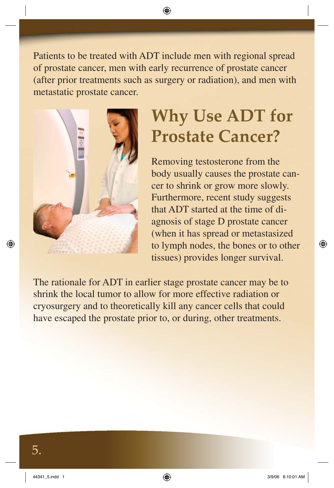Patients to be treated with ADT include men with regional spread of prostate cancer, men with early recurrence of prostate cancer (after prior treatments such as surgery or radiation), and men with metastatic prostate cancer.



## **Why Use ADT for Prostate Cancer?**

Removing testosterone from the body usually causes the prostate cancer to shrink or grow more slowly. Furthermore, recent study suggests that ADT started at the time of diagnosis of stage D prostate cancer (when it has spread or metastasized to lymph nodes, the bones or to other tissues) provides longer survival.

The rationale for ADT in earlier stage prostate cancer may be to shrink the local tumor to allow for more effective radiation or cryosurgery and to theoretically kill any cancer cells that could have escaped the prostate prior to, or during, other treatments.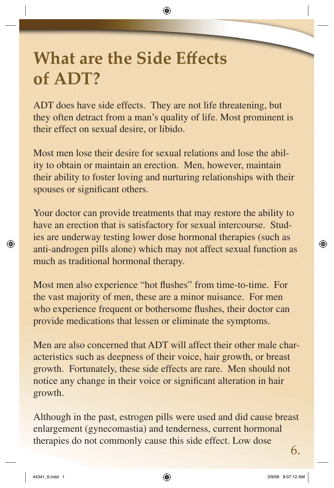## **What are the Side Effects of ADT?**

ADT does have side effects. They are not life threatening, but they often detract from a man's quality of life. Most prominent is their effect on sexual desire, or libido.

Most men lose their desire for sexual relations and lose the ability to obtain or maintain an erection. Men, however, maintain their ability to foster loving and nurturing relationships with their spouses or significant others.

Your doctor can provide treatments that may restore the ability to have an erection that is satisfactory for sexual intercourse. Studies are underway testing lower dose hormonal therapies (such as anti-androgen pills alone) which may not affect sexual function as much as traditional hormonal therapy.

Most men also experience "hot flushes" from time-to-time. For the vast majority of men, these are a minor nuisance. For men who experience frequent or bothersome flushes, their doctor can provide medications that lessen or eliminate the symptoms.

Men are also concerned that ADT will affect their other male characteristics such as deepness of their voice, hair growth, or breast growth. Fortunately, these side effects are rare. Men should not notice any change in their voice or significant alteration in hair growth.

Although in the past, estrogen pills were used and did cause breast enlargement (gynecomastia) and tenderness, current hormonal therapies do not commonly cause this side effect. Low dose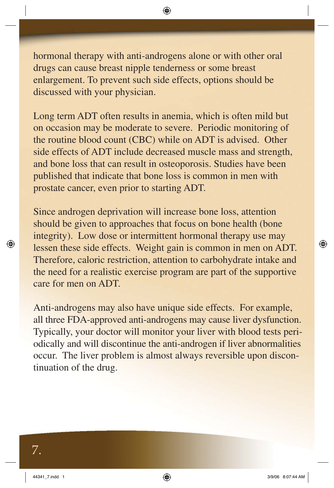hormonal therapy with anti-androgens alone or with other oral drugs can cause breast nipple tenderness or some breast enlargement. To prevent such side effects, options should be discussed with your physician.

Long term ADT often results in anemia, which is often mild but on occasion may be moderate to severe. Periodic monitoring of the routine blood count (CBC) while on ADT is advised. Other side effects of ADT include decreased muscle mass and strength, and bone loss that can result in osteoporosis. Studies have been published that indicate that bone loss is common in men with prostate cancer, even prior to starting ADT.

Since androgen deprivation will increase bone loss, attention should be given to approaches that focus on bone health (bone integrity). Low dose or intermittent hormonal therapy use may lessen these side effects. Weight gain is common in men on ADT. Therefore, caloric restriction, attention to carbohydrate intake and the need for a realistic exercise program are part of the supportive care for men on ADT.

Anti-androgens may also have unique side effects. For example, all three FDA-approved anti-androgens may cause liver dysfunction. Typically, your doctor will monitor your liver with blood tests periodically and will discontinue the anti-androgen if liver abnormalities occur. The liver problem is almost always reversible upon discontinuation of the drug.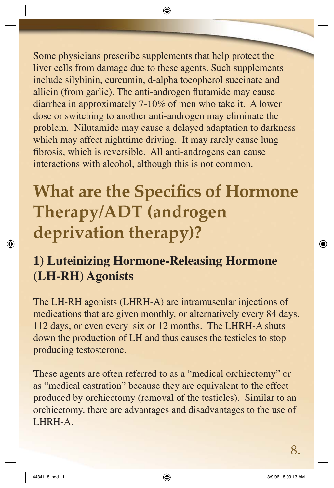Some physicians prescribe supplements that help protect the liver cells from damage due to these agents. Such supplements include silybinin, curcumin, d-alpha tocopherol succinate and allicin (from garlic). The anti-androgen flutamide may cause diarrhea in approximately 7-10% of men who take it. A lower dose or switching to another anti-androgen may eliminate the problem. Nilutamide may cause a delayed adaptation to darkness which may affect nighttime driving. It may rarely cause lung fibrosis, which is reversible. All anti-androgens can cause interactions with alcohol, although this is not common.

## **What are the Specifics of Hormone Therapy/ADT (androgen deprivation therapy)?**

#### **1) Luteinizing Hormone-Releasing Hormone (LH-RH) Agonists**

The LH-RH agonists (LHRH-A) are intramuscular injections of medications that are given monthly, or alternatively every 84 days, 112 days, or even every six or 12 months. The LHRH-A shuts down the production of LH and thus causes the testicles to stop producing testosterone.

These agents are often referred to as a "medical orchiectomy" or as "medical castration" because they are equivalent to the effect produced by orchiectomy (removal of the testicles). Similar to an orchiectomy, there are advantages and disadvantages to the use of LHRH-A.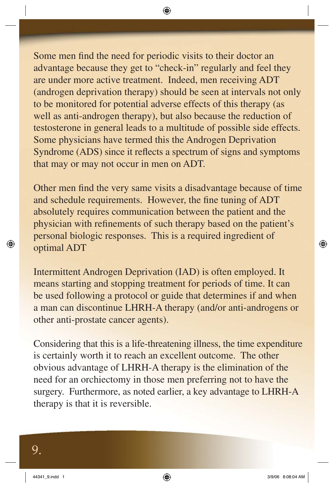Some men find the need for periodic visits to their doctor an advantage because they get to "check-in" regularly and feel they are under more active treatment. Indeed, men receiving ADT (androgen deprivation therapy) should be seen at intervals not only to be monitored for potential adverse effects of this therapy (as well as anti-androgen therapy), but also because the reduction of testosterone in general leads to a multitude of possible side effects. Some physicians have termed this the Androgen Deprivation Syndrome (ADS) since it reflects a spectrum of signs and symptoms that may or may not occur in men on ADT.

Other men find the very same visits a disadvantage because of time and schedule requirements. However, the fine tuning of ADT absolutely requires communication between the patient and the physician with refinements of such therapy based on the patient's personal biologic responses. This is a required ingredient of optimal ADT

Intermittent Androgen Deprivation (IAD) is often employed. It means starting and stopping treatment for periods of time. It can be used following a protocol or guide that determines if and when a man can discontinue LHRH-A therapy (and/or anti-androgens or other anti-prostate cancer agents).

Considering that this is a life-threatening illness, the time expenditure is certainly worth it to reach an excellent outcome. The other obvious advantage of LHRH-A therapy is the elimination of the need for an orchiectomy in those men preferring not to have the surgery. Furthermore, as noted earlier, a key advantage to LHRH-A therapy is that it is reversible.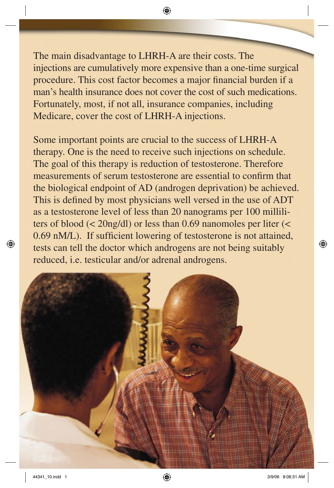The main disadvantage to LHRH-A are their costs. The injections are cumulatively more expensive than a one-time surgical procedure. This cost factor becomes a major financial burden if a man's health insurance does not cover the cost of such medications. Fortunately, most, if not all, insurance companies, including Medicare, cover the cost of LHRH-A injections.

Some important points are crucial to the success of LHRH-A therapy. One is the need to receive such injections on schedule. The goal of this therapy is reduction of testosterone. Therefore measurements of serum testosterone are essential to confirm that the biological endpoint of AD (androgen deprivation) be achieved. This is defined by most physicians well versed in the use of ADT as a testosterone level of less than 20 nanograms per 100 milliliters of blood (< 20ng/dl) or less than 0.69 nanomoles per liter (< 0.69 nM/L). If sufficient lowering of testosterone is not attained, tests can tell the doctor which androgens are not being suitably reduced, i.e. testicular and/or adrenal androgens.

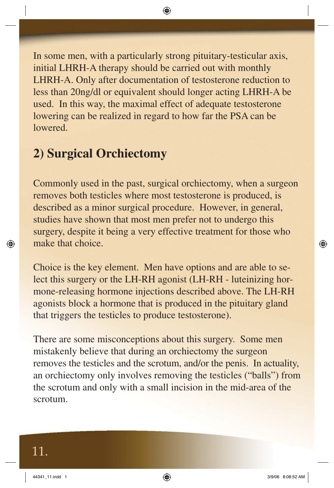In some men, with a particularly strong pituitary-testicular axis, initial LHRH-A therapy should be carried out with monthly LHRH-A. Only after documentation of testosterone reduction to less than 20ng/dl or equivalent should longer acting LHRH-A be used. In this way, the maximal effect of adequate testosterone lowering can be realized in regard to how far the PSA can be lowered.

#### **2) Surgical Orchiectomy**

Commonly used in the past, surgical orchiectomy, when a surgeon removes both testicles where most testosterone is produced, is described as a minor surgical procedure. However, in general, studies have shown that most men prefer not to undergo this surgery, despite it being a very effective treatment for those who make that choice.

Choice is the key element. Men have options and are able to select this surgery or the LH-RH agonist (LH-RH - luteinizing hormone-releasing hormone injections described above. The LH-RH agonists block a hormone that is produced in the pituitary gland that triggers the testicles to produce testosterone).

There are some misconceptions about this surgery. Some men mistakenly believe that during an orchiectomy the surgeon removes the testicles and the scrotum, and/or the penis. In actuality, an orchiectomy only involves removing the testicles ("balls") from the scrotum and only with a small incision in the mid-area of the scrotum.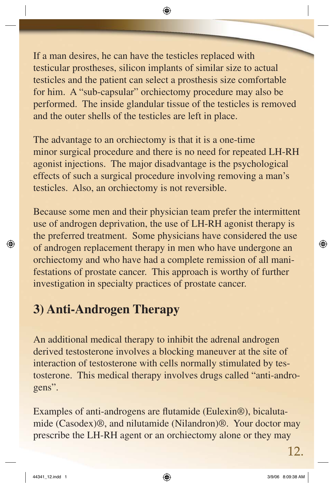If a man desires, he can have the testicles replaced with testicular prostheses, silicon implants of similar size to actual testicles and the patient can select a prosthesis size comfortable for him. A "sub-capsular" orchiectomy procedure may also be performed. The inside glandular tissue of the testicles is removed and the outer shells of the testicles are left in place.

The advantage to an orchiectomy is that it is a one-time minor surgical procedure and there is no need for repeated LH-RH agonist injections. The major disadvantage is the psychological effects of such a surgical procedure involving removing a man's testicles. Also, an orchiectomy is not reversible.

Because some men and their physician team prefer the intermittent use of androgen deprivation, the use of LH-RH agonist therapy is the preferred treatment. Some physicians have considered the use of androgen replacement therapy in men who have undergone an orchiectomy and who have had a complete remission of all manifestations of prostate cancer. This approach is worthy of further investigation in specialty practices of prostate cancer.

#### **3) Anti-Androgen Therapy**

An additional medical therapy to inhibit the adrenal androgen derived testosterone involves a blocking maneuver at the site of interaction of testosterone with cells normally stimulated by testosterone. This medical therapy involves drugs called "anti-androgens".

Examples of anti-androgens are flutamide (Eulexin<sup>®</sup>), bicalutamide (Casodex)®, and nilutamide (Nilandron)®. Your doctor may prescribe the LH-RH agent or an orchiectomy alone or they may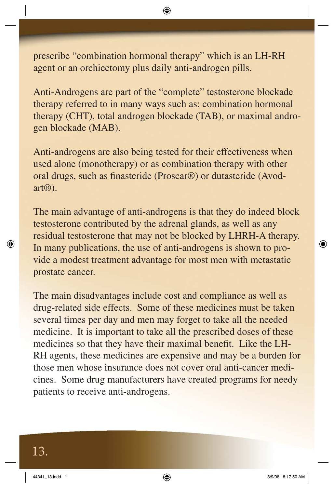prescribe "combination hormonal therapy" which is an LH-RH agent or an orchiectomy plus daily anti-androgen pills.

Anti-Androgens are part of the "complete" testosterone blockade therapy referred to in many ways such as: combination hormonal therapy (CHT), total androgen blockade (TAB), or maximal androgen blockade (MAB).

Anti-androgens are also being tested for their effectiveness when used alone (monotherapy) or as combination therapy with other oral drugs, such as finasteride (Proscar®) or dutasteride (Avodart®).

The main advantage of anti-androgens is that they do indeed block testosterone contributed by the adrenal glands, as well as any residual testosterone that may not be blocked by LHRH-A therapy. In many publications, the use of anti-androgens is shown to provide a modest treatment advantage for most men with metastatic prostate cancer.

The main disadvantages include cost and compliance as well as drug-related side effects. Some of these medicines must be taken several times per day and men may forget to take all the needed medicine. It is important to take all the prescribed doses of these medicines so that they have their maximal benefit. Like the LH-RH agents, these medicines are expensive and may be a burden for those men whose insurance does not cover oral anti-cancer medicines. Some drug manufacturers have created programs for needy patients to receive anti-androgens.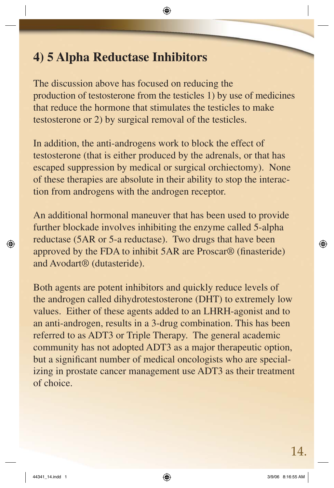#### **4) 5 Alpha Reductase Inhibitors**

The discussion above has focused on reducing the production of testosterone from the testicles 1) by use of medicines that reduce the hormone that stimulates the testicles to make testosterone or 2) by surgical removal of the testicles.

In addition, the anti-androgens work to block the effect of testosterone (that is either produced by the adrenals, or that has escaped suppression by medical or surgical orchiectomy). None of these therapies are absolute in their ability to stop the interaction from androgens with the androgen receptor.

An additional hormonal maneuver that has been used to provide further blockade involves inhibiting the enzyme called 5-alpha reductase (5AR or 5-a reductase). Two drugs that have been approved by the FDA to inhibit  $5AR$  are Proscar $\mathcal D$  (finasteride) and Avodart® (dutasteride).

Both agents are potent inhibitors and quickly reduce levels of the androgen called dihydrotestosterone (DHT) to extremely low values. Either of these agents added to an LHRH-agonist and to an anti-androgen, results in a 3-drug combination. This has been referred to as ADT3 or Triple Therapy. The general academic community has not adopted ADT3 as a major therapeutic option, but a significant number of medical oncologists who are specializing in prostate cancer management use ADT3 as their treatment of choice.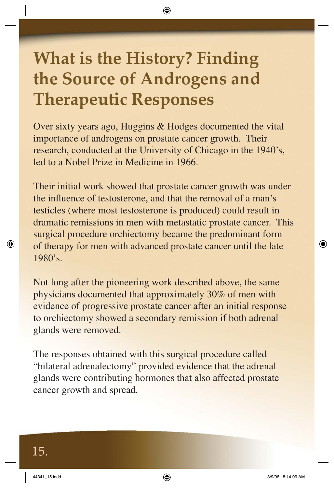## **What is the History? Finding the Source of Androgens and Therapeutic Responses**

Over sixty years ago, Huggins & Hodges documented the vital importance of androgens on prostate cancer growth. Their research, conducted at the University of Chicago in the 1940's, led to a Nobel Prize in Medicine in 1966.

Their initial work showed that prostate cancer growth was under the influence of testosterone, and that the removal of a man's testicles (where most testosterone is produced) could result in dramatic remissions in men with metastatic prostate cancer. This surgical procedure orchiectomy became the predominant form of therapy for men with advanced prostate cancer until the late 1980's.

Not long after the pioneering work described above, the same physicians documented that approximately 30% of men with evidence of progressive prostate cancer after an initial response to orchiectomy showed a secondary remission if both adrenal glands were removed.

The responses obtained with this surgical procedure called "bilateral adrenalectomy" provided evidence that the adrenal glands were contributing hormones that also affected prostate cancer growth and spread.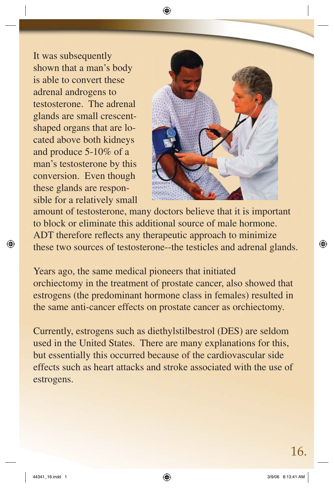It was subsequently shown that a man's body is able to convert these adrenal androgens to testosterone. The adrenal glands are small crescentshaped organs that are located above both kidneys and produce 5-10% of a man's testosterone by this conversion. Even though these glands are responsible for a relatively small



amount of testosterone, many doctors believe that it is important to block or eliminate this additional source of male hormone. ADT therefore reflects any therapeutic approach to minimize these two sources of testosterone--the testicles and adrenal glands.

Years ago, the same medical pioneers that initiated orchiectomy in the treatment of prostate cancer, also showed that estrogens (the predominant hormone class in females) resulted in the same anti-cancer effects on prostate cancer as orchiectomy.

Currently, estrogens such as diethylstilbestrol (DES) are seldom used in the United States. There are many explanations for this, but essentially this occurred because of the cardiovascular side effects such as heart attacks and stroke associated with the use of estrogens.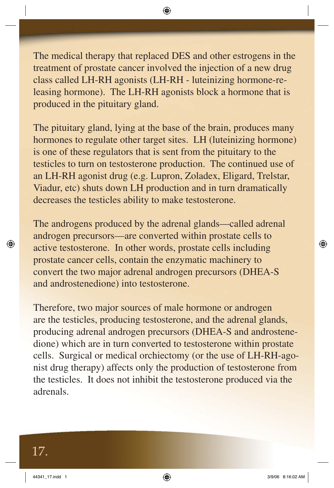The medical therapy that replaced DES and other estrogens in the treatment of prostate cancer involved the injection of a new drug class called LH-RH agonists (LH-RH - luteinizing hormone-releasing hormone). The LH-RH agonists block a hormone that is produced in the pituitary gland.

The pituitary gland, lying at the base of the brain, produces many hormones to regulate other target sites. LH (luteinizing hormone) is one of these regulators that is sent from the pituitary to the testicles to turn on testosterone production. The continued use of an LH-RH agonist drug (e.g. Lupron, Zoladex, Eligard, Trelstar, Viadur, etc) shuts down LH production and in turn dramatically decreases the testicles ability to make testosterone.

The androgens produced by the adrenal glands—called adrenal androgen precursors—are converted within prostate cells to active testosterone. In other words, prostate cells including prostate cancer cells, contain the enzymatic machinery to convert the two major adrenal androgen precursors (DHEA-S and androstenedione) into testosterone.

Therefore, two major sources of male hormone or androgen are the testicles, producing testosterone, and the adrenal glands, producing adrenal androgen precursors (DHEA-S and androstenedione) which are in turn converted to testosterone within prostate cells. Surgical or medical orchiectomy (or the use of LH-RH-agonist drug therapy) affects only the production of testosterone from the testicles. It does not inhibit the testosterone produced via the adrenals.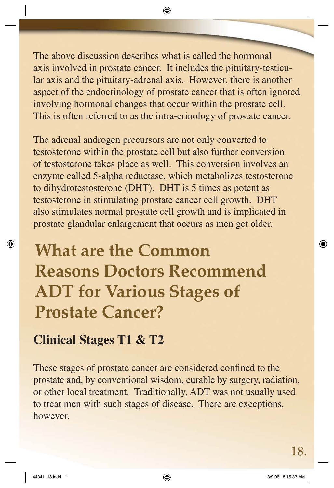The above discussion describes what is called the hormonal axis involved in prostate cancer. It includes the pituitary-testicular axis and the pituitary-adrenal axis. However, there is another aspect of the endocrinology of prostate cancer that is often ignored involving hormonal changes that occur within the prostate cell. This is often referred to as the intra-crinology of prostate cancer.

The adrenal androgen precursors are not only converted to testosterone within the prostate cell but also further conversion of testosterone takes place as well. This conversion involves an enzyme called 5-alpha reductase, which metabolizes testosterone to dihydrotestosterone (DHT). DHT is 5 times as potent as testosterone in stimulating prostate cancer cell growth. DHT also stimulates normal prostate cell growth and is implicated in prostate glandular enlargement that occurs as men get older.

## **What are the Common Reasons Doctors Recommend ADT for Various Stages of Prostate Cancer?**

#### **Clinical Stages T1 & T2**

These stages of prostate cancer are considered confined to the prostate and, by conventional wisdom, curable by surgery, radiation, or other local treatment. Traditionally, ADT was not usually used to treat men with such stages of disease. There are exceptions, however.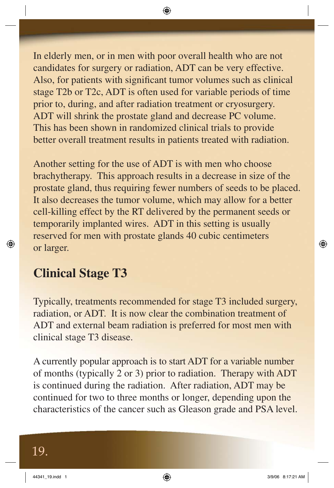In elderly men, or in men with poor overall health who are not candidates for surgery or radiation, ADT can be very effective. Also, for patients with significant tumor volumes such as clinical stage T2b or T2c, ADT is often used for variable periods of time prior to, during, and after radiation treatment or cryosurgery. ADT will shrink the prostate gland and decrease PC volume. This has been shown in randomized clinical trials to provide better overall treatment results in patients treated with radiation.

Another setting for the use of ADT is with men who choose brachytherapy. This approach results in a decrease in size of the prostate gland, thus requiring fewer numbers of seeds to be placed. It also decreases the tumor volume, which may allow for a better cell-killing effect by the RT delivered by the permanent seeds or temporarily implanted wires. ADT in this setting is usually reserved for men with prostate glands 40 cubic centimeters or larger.

#### **Clinical Stage T3**

Typically, treatments recommended for stage T3 included surgery, radiation, or ADT. It is now clear the combination treatment of ADT and external beam radiation is preferred for most men with clinical stage T3 disease.

A currently popular approach is to start ADT for a variable number of months (typically 2 or 3) prior to radiation. Therapy with ADT is continued during the radiation. After radiation, ADT may be continued for two to three months or longer, depending upon the characteristics of the cancer such as Gleason grade and PSA level.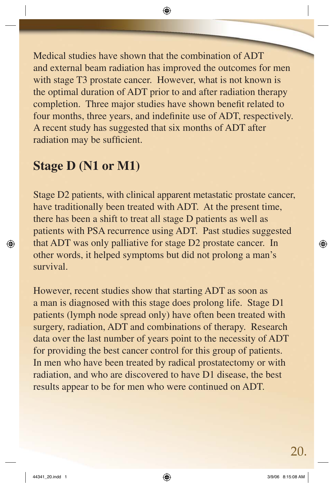Medical studies have shown that the combination of ADT and external beam radiation has improved the outcomes for men with stage T3 prostate cancer. However, what is not known is the optimal duration of ADT prior to and after radiation therapy completion. Three major studies have shown benefit related to four months, three years, and indefinite use of ADT, respectively. A recent study has suggested that six months of ADT after radiation may be sufficient.

#### **Stage D (N1 or M1)**

Stage D2 patients, with clinical apparent metastatic prostate cancer, have traditionally been treated with ADT. At the present time, there has been a shift to treat all stage D patients as well as patients with PSA recurrence using ADT. Past studies suggested that ADT was only palliative for stage D2 prostate cancer. In other words, it helped symptoms but did not prolong a man's survival.

However, recent studies show that starting ADT as soon as a man is diagnosed with this stage does prolong life. Stage D1 patients (lymph node spread only) have often been treated with surgery, radiation, ADT and combinations of therapy. Research data over the last number of years point to the necessity of ADT for providing the best cancer control for this group of patients. In men who have been treated by radical prostatectomy or with radiation, and who are discovered to have D1 disease, the best results appear to be for men who were continued on ADT.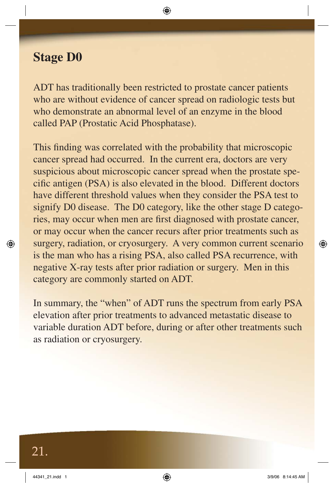#### **Stage D0**

ADT has traditionally been restricted to prostate cancer patients who are without evidence of cancer spread on radiologic tests but who demonstrate an abnormal level of an enzyme in the blood called PAP (Prostatic Acid Phosphatase).

This finding was correlated with the probability that microscopic cancer spread had occurred. In the current era, doctors are very suspicious about microscopic cancer spread when the prostate specific antigen (PSA) is also elevated in the blood. Different doctors have different threshold values when they consider the PSA test to signify D0 disease. The D0 category, like the other stage D categories, may occur when men are first diagnosed with prostate cancer, or may occur when the cancer recurs after prior treatments such as surgery, radiation, or cryosurgery. A very common current scenario is the man who has a rising PSA, also called PSA recurrence, with negative X-ray tests after prior radiation or surgery. Men in this category are commonly started on ADT.

In summary, the "when" of ADT runs the spectrum from early PSA elevation after prior treatments to advanced metastatic disease to variable duration ADT before, during or after other treatments such as radiation or cryosurgery.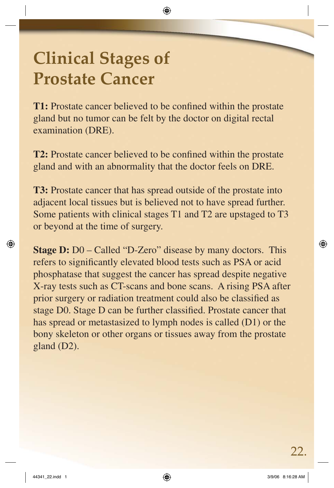## **Clinical Stages of Prostate Cancer**

**T1:** Prostate cancer believed to be confined within the prostate gland but no tumor can be felt by the doctor on digital rectal examination (DRE).

**T2:** Prostate cancer believed to be confined within the prostate gland and with an abnormality that the doctor feels on DRE.

**T3:** Prostate cancer that has spread outside of the prostate into adjacent local tissues but is believed not to have spread further. Some patients with clinical stages T1 and T2 are upstaged to T3 or beyond at the time of surgery.

**Stage D:** D0 – Called "D-Zero" disease by many doctors. This refers to significantly elevated blood tests such as PSA or acid phosphatase that suggest the cancer has spread despite negative X-ray tests such as CT-scans and bone scans. A rising PSA after prior surgery or radiation treatment could also be classified as stage D0. Stage D can be further classified. Prostate cancer that has spread or metastasized to lymph nodes is called (D1) or the bony skeleton or other organs or tissues away from the prostate gland (D2).